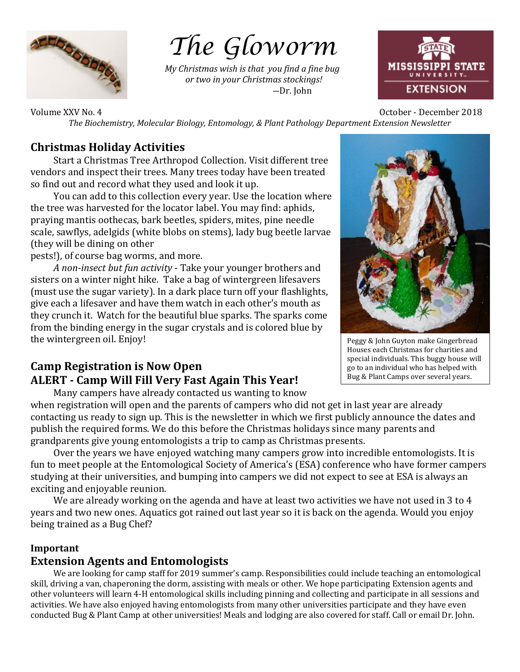

# *The Gloworm*

*My Christmas wish is that you find a fine bug or two in your Christmas stockings!* ―Dr. John



Volume XXV No. 4 October - December 2018 *The Biochemistry, Molecular Biology, Entomology, & Plant Pathology Department Extension Newsletter*

# **Christmas Holiday Activities**

Start a Christmas Tree Arthropod Collection. Visit different tree vendors and inspect their trees. Many trees today have been treated so find out and record what they used and look it up.

 You can add to this collection every year. Use the location where the tree was harvested for the locator label. You may find: aphids, praying mantis oothecas, bark beetles, spiders, mites, pine needle scale, sawflys, adelgids (white blobs on stems), lady bug beetle larvae (they will be dining on other

pests!), of course bag worms, and more.

*A non-insect but fun activity* - Take your younger brothers and sisters on a winter night hike. Take a bag of wintergreen lifesavers (must use the sugar variety). In a dark place turn off your flashlights, give each a lifesaver and have them watch in each other's mouth as they crunch it. Watch for the beautiful blue sparks. The sparks come from the binding energy in the sugar crystals and is colored blue by the wintergreen oil. Enjoy!

# **Camp Registration is Now Open ALERT - Camp Will Fill Very Fast Again This Year!**

Peggy & John Guyton make Gingerbread Houses each Christmas for charities and special individuals. This buggy house will go to an individual who has helped with Bug & Plant Camps over several years.

 Many campers have already contacted us wanting to know when registration will open and the parents of campers who did not get in last year are already contacting us ready to sign up. This is the newsletter in which we first publicly announce the dates and publish the required forms. We do this before the Christmas holidays since many parents and grandparents give young entomologists a trip to camp as Christmas presents.

 Over the years we have enjoyed watching many campers grow into incredible entomologists. It is fun to meet people at the Entomological Society of America's (ESA) conference who have former campers studying at their universities, and bumping into campers we did not expect to see at ESA is always an exciting and enjoyable reunion.

We are already working on the agenda and have at least two activities we have not used in 3 to 4 years and two new ones. Aquatics got rained out last year so it is back on the agenda. Would you enjoy being trained as a Bug Chef?

## **Important**

## **Extension Agents and Entomologists**

 We are looking for camp staff for 2019 summer's camp. Responsibilities could include teaching an entomological skill, driving a van, chaperoning the dorm, assisting with meals or other. We hope participating Extension agents and other volunteers will learn 4-H entomological skills including pinning and collecting and participate in all sessions and activities. We have also enjoyed having entomologists from many other universities participate and they have even conducted Bug & Plant Camp at other universities! Meals and lodging are also covered for staff. Call or email Dr. John.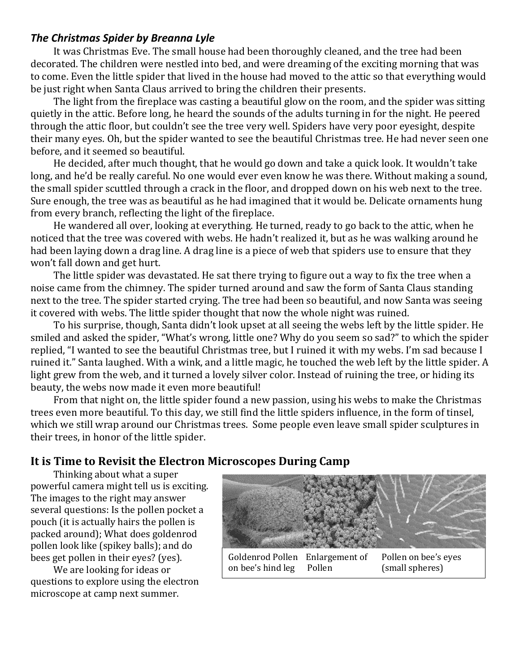## *The Christmas Spider by Breanna Lyle*

It was Christmas Eve. The small house had been thoroughly cleaned, and the tree had been decorated. The children were nestled into bed, and were dreaming of the exciting morning that was to come. Even the little spider that lived in the house had moved to the attic so that everything would be just right when Santa Claus arrived to bring the children their presents.

 The light from the fireplace was casting a beautiful glow on the room, and the spider was sitting quietly in the attic. Before long, he heard the sounds of the adults turning in for the night. He peered through the attic floor, but couldn't see the tree very well. Spiders have very poor eyesight, despite their many eyes. Oh, but the spider wanted to see the beautiful Christmas tree. He had never seen one before, and it seemed so beautiful.

He decided, after much thought, that he would go down and take a quick look. It wouldn't take long, and he'd be really careful. No one would ever even know he was there. Without making a sound, the small spider scuttled through a crack in the floor, and dropped down on his web next to the tree. Sure enough, the tree was as beautiful as he had imagined that it would be. Delicate ornaments hung from every branch, reflecting the light of the fireplace.

 He wandered all over, looking at everything. He turned, ready to go back to the attic, when he noticed that the tree was covered with webs. He hadn't realized it, but as he was walking around he had been laying down a drag line. A drag line is a piece of web that spiders use to ensure that they won't fall down and get hurt.

 The little spider was devastated. He sat there trying to figure out a way to fix the tree when a noise came from the chimney. The spider turned around and saw the form of Santa Claus standing next to the tree. The spider started crying. The tree had been so beautiful, and now Santa was seeing it covered with webs. The little spider thought that now the whole night was ruined.

 To his surprise, though, Santa didn't look upset at all seeing the webs left by the little spider. He smiled and asked the spider, "What's wrong, little one? Why do you seem so sad?" to which the spider replied, "I wanted to see the beautiful Christmas tree, but I ruined it with my webs. I'm sad because I ruined it." Santa laughed. With a wink, and a little magic, he touched the web left by the little spider. A light grew from the web, and it turned a lovely silver color. Instead of ruining the tree, or hiding its beauty, the webs now made it even more beautiful!

 From that night on, the little spider found a new passion, using his webs to make the Christmas trees even more beautiful. To this day, we still find the little spiders influence, in the form of tinsel, which we still wrap around our Christmas trees. Some people even leave small spider sculptures in their trees, in honor of the little spider.

# **It is Time to Revisit the Electron Microscopes During Camp**

 Thinking about what a super powerful camera might tell us is exciting. The images to the right may answer several questions: Is the pollen pocket a pouch (it is actually hairs the pollen is packed around); What does goldenrod pollen look like (spikey balls); and do bees get pollen in their eyes? (yes).

 We are looking for ideas or questions to explore using the electron microscope at camp next summer.

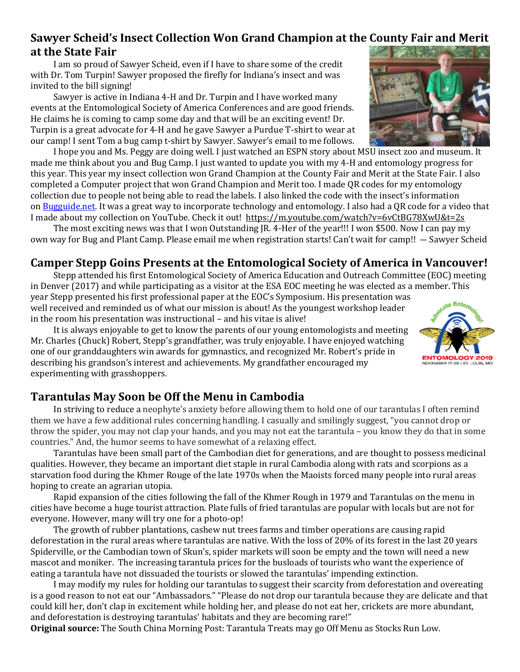## **Sawyer Scheid's Insect Collection Won Grand Champion at the County Fair and Merit at the State Fair**

 I am so proud of Sawyer Scheid, even if I have to share some of the credit with Dr. Tom Turpin! Sawyer proposed the firefly for Indiana's insect and was invited to the bill signing!

 Sawyer is active in Indiana 4-H and Dr. Turpin and I have worked many events at the Entomological Society of America Conferences and are good friends. He claims he is coming to camp some day and that will be an exciting event! Dr. Turpin is a great advocate for 4-H and he gave Sawyer a Purdue T-shirt to wear at our camp! I sent Tom a bug camp t-shirt by Sawyer. Sawyer's email to me follows.

 I hope you and Ms. Peggy are doing well. I just watched an ESPN story about MSU insect zoo and museum. It made me think about you and Bug Camp. I just wanted to update you with my 4-H and entomology progress for this year. This year my insect collection won Grand Champion at the County Fair and Merit at the State Fair. I also completed a Computer project that won Grand Champion and Merit too. I made QR codes for my entomology collection due to people not being able to read the labels. I also linked the code with the insect's information on [Bugguide.net.](http://bugguide.net/) It was a great way to incorporate technology and entomology. I also had a QR code for a video that I made about my collection on YouTube. Check it out! <https://m.youtube.com/watch?v=6vCtBG78XwU&t=2s>

 The most exciting news was that I won Outstanding JR. 4-Her of the year!!! I won \$500. Now I can pay my own way for Bug and Plant Camp. Please email me when registration starts! Can't wait for camp!! ― Sawyer Scheid

# **Camper Stepp Goins Presents at the Entomological Society of America in Vancouver!**

 Stepp attended his first Entomological Society of America Education and Outreach Committee (EOC) meeting in Denver (2017) and while participating as a visitor at the ESA EOC meeting he was elected as a member. This year Stepp presented his first professional paper at the EOC's Symposium. His presentation was

well received and reminded us of what our mission is about! As the youngest workshop leader in the room his presentation was instructional – and his vitae is alive!

 It is always enjoyable to get to know the parents of our young entomologists and meeting Mr. Charles (Chuck) Robert, Stepp's grandfather, was truly enjoyable. I have enjoyed watching one of our granddaughters win awards for gymnastics, and recognized Mr. Robert's pride in describing his grandson's interest and achievements. My grandfather encouraged my experimenting with grasshoppers.

# **Tarantulas May Soon be Off the Menu in Cambodia**

 In striving to reduce a neophyte's anxiety before allowing them to hold one of our tarantulas I often remind them we have a few additional rules concerning handling. I casually and smilingly suggest, "you cannot drop or throw the spider, you may not clap your hands, and you may not eat the tarantula – you know they do that in some countries." And, the humor seems to have somewhat of a relaxing effect.

 Tarantulas have been small part of the Cambodian diet for generations, and are thought to possess medicinal qualities. However, they became an important diet staple in rural Cambodia along with rats and scorpions as a starvation food during the Khmer Rouge of the late 1970s when the Maoists forced many people into rural areas hoping to create an agrarian utopia.

 Rapid expansion of the cities following the fall of the Khmer Rough in 1979 and Tarantulas on the menu in cities have become a huge tourist attraction. Plate fulls of fried tarantulas are popular with locals but are not for everyone. However, many will try one for a photo-op!

 The growth of rubber plantations, cashew nut trees farms and timber operations are causing rapid deforestation in the rural areas where tarantulas are native. With the loss of 20% of its forest in the last 20 years Spiderville, or the Cambodian town of Skun's, spider markets will soon be empty and the town will need a new mascot and moniker. The increasing tarantula prices for the busloads of tourists who want the experience of eating a tarantula have not dissuaded the tourists or slowed the tarantulas' impending extinction.

 I may modify my rules for holding our tarantulas to suggest their scarcity from deforestation and overeating is a good reason to not eat our "Ambassadors." "Please do not drop our tarantula because they are delicate and that could kill her, don't clap in excitement while holding her, and please do not eat her, crickets are more abundant, and deforestation is destroying tarantulas' habitats and they are becoming rare!"

**Original source:** The South China Morning Post: Tarantula Treats may go Off Menu as Stocks Run Low.



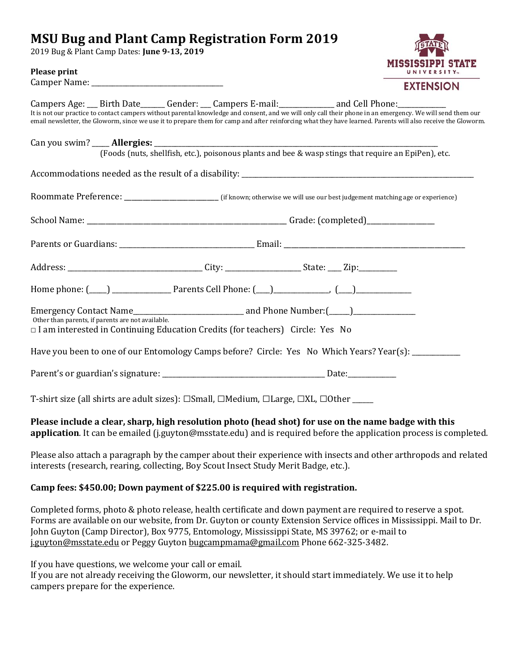# **MSU Bug and Plant Camp Registration Form 2019**

2019 Bug & Plant Camp Dates: **June 9-13, 2019**



#### **Please print**

Camper Name: \_\_\_\_\_\_\_\_\_\_\_\_\_\_\_\_\_\_\_\_\_\_\_\_\_\_\_\_\_\_\_\_\_\_\_\_\_\_

|                                                   |                                                                                                                | Campers Age: Birth Date Gender: Campers E-mail: and Cell Phone: Campers Age: Campers Age: Campers Age: Campers E-mail:                                                                                                                                                                                                     |
|---------------------------------------------------|----------------------------------------------------------------------------------------------------------------|----------------------------------------------------------------------------------------------------------------------------------------------------------------------------------------------------------------------------------------------------------------------------------------------------------------------------|
|                                                   |                                                                                                                | It is not our practice to contact campers without parental knowledge and consent, and we will only call their phone in an emergency. We will send them our<br>email newsletter, the Gloworm, since we use it to prepare them for camp and after reinforcing what they have learned. Parents will also receive the Gloworm. |
|                                                   |                                                                                                                |                                                                                                                                                                                                                                                                                                                            |
|                                                   |                                                                                                                |                                                                                                                                                                                                                                                                                                                            |
|                                                   |                                                                                                                |                                                                                                                                                                                                                                                                                                                            |
|                                                   |                                                                                                                |                                                                                                                                                                                                                                                                                                                            |
|                                                   |                                                                                                                |                                                                                                                                                                                                                                                                                                                            |
|                                                   |                                                                                                                |                                                                                                                                                                                                                                                                                                                            |
|                                                   |                                                                                                                |                                                                                                                                                                                                                                                                                                                            |
|                                                   | Home phone: (120) 2022 2022 Parents Cell Phone: (22) 2022 2022 2023 2024 2022 2023 2024 2022 2023 2022 2023 20 |                                                                                                                                                                                                                                                                                                                            |
|                                                   |                                                                                                                |                                                                                                                                                                                                                                                                                                                            |
| Other than parents, if parents are not available. | $\Box$ I am interested in Continuing Education Credits (for teachers) Circle: Yes No                           |                                                                                                                                                                                                                                                                                                                            |
|                                                   |                                                                                                                | Have you been to one of our Entomology Camps before? Circle: Yes No Which Years? Year(s):                                                                                                                                                                                                                                  |
|                                                   |                                                                                                                |                                                                                                                                                                                                                                                                                                                            |
|                                                   | T-shirt size (all shirts are adult sizes): □Small, □Medium, □Large, □XL, □Other _____                          |                                                                                                                                                                                                                                                                                                                            |
|                                                   |                                                                                                                | Please include a clear, sharp, high resolution photo (head shot) for use on the name badge with this                                                                                                                                                                                                                       |

## **application**. It can be emailed (j.guyton@msstate.edu) and is required before the application process is completed.

Please also attach a paragraph by the camper about their experience with insects and other arthropods and related interests (research, rearing, collecting, Boy Scout Insect Study Merit Badge, etc.).

## **Camp fees: \$450.00; Down payment of \$225.00 is required with registration.**

Completed forms, photo & photo release, health certificate and down payment are required to reserve a spot. Forms are available on our website, from Dr. Guyton or county Extension Service offices in Mississippi. Mail to Dr. John Guyton (Camp Director), Box 9775, Entomology, Mississippi State, MS 39762; or e-mail to j.guyton@msstate.edu or Peggy Guyton bugcampmama@gmail.com Phone 662-325-3482.

If you have questions, we welcome your call or email.

If you are not already receiving the Gloworm, our newsletter, it should start immediately. We use it to help campers prepare for the experience.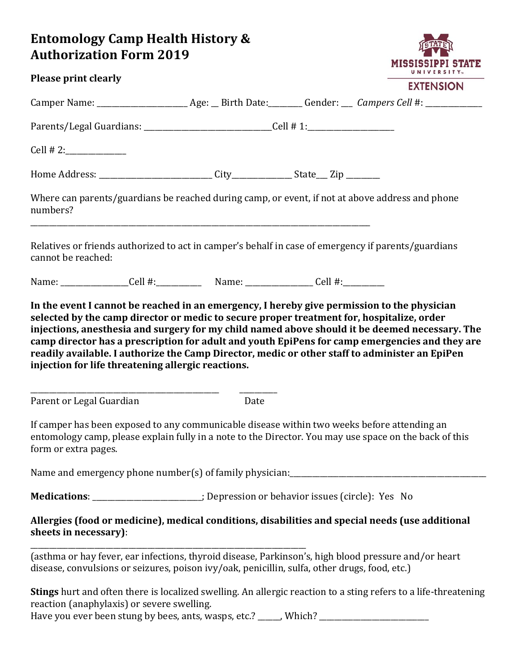# **Entomology Camp Health History & Authorization Form 2019**

|                                                                                               |      | <b>UNIVERSIIT</b>                                                                                                                                                                                     |
|-----------------------------------------------------------------------------------------------|------|-------------------------------------------------------------------------------------------------------------------------------------------------------------------------------------------------------|
| <b>Please print clearly</b>                                                                   |      | <b>EXTENSION</b>                                                                                                                                                                                      |
|                                                                                               |      |                                                                                                                                                                                                       |
| Parents/Legal Guardians: ______________________________Cell # 1:________________              |      |                                                                                                                                                                                                       |
|                                                                                               |      |                                                                                                                                                                                                       |
|                                                                                               |      |                                                                                                                                                                                                       |
| numbers?                                                                                      |      | Where can parents/guardians be reached during camp, or event, if not at above address and phone                                                                                                       |
| cannot be reached:                                                                            |      | Relatives or friends authorized to act in camper's behalf in case of emergency if parents/guardians                                                                                                   |
|                                                                                               |      |                                                                                                                                                                                                       |
| injection for life threatening allergic reactions.                                            |      | readily available. I authorize the Camp Director, medic or other staff to administer an EpiPen                                                                                                        |
| Parent or Legal Guardian                                                                      | Date |                                                                                                                                                                                                       |
| form or extra pages.                                                                          |      | If camper has been exposed to any communicable disease within two weeks before attending an<br>entomology camp, please explain fully in a note to the Director. You may use space on the back of this |
|                                                                                               |      |                                                                                                                                                                                                       |
| Medications: _____________________; Depression or behavior issues (circle): Yes No            |      |                                                                                                                                                                                                       |
| sheets in necessary):                                                                         |      | Allergies (food or medicine), medical conditions, disabilities and special needs (use additional                                                                                                      |
| disease, convulsions or seizures, poison ivy/oak, penicillin, sulfa, other drugs, food, etc.) |      | (asthma or hay fever, ear infections, thyroid disease, Parkinson's, high blood pressure and/or heart                                                                                                  |
| reaction (anaphylaxis) or severe swelling.                                                    |      | <b>Stings</b> hurt and often there is localized swelling. An allergic reaction to a sting refers to a life-threatening                                                                                |

MISSISSIPPI STATE

Have you ever been stung by bees, ants, wasps, etc.? \_\_\_\_\_, Which? \_\_\_\_\_\_\_\_\_\_\_\_\_\_\_\_\_\_\_\_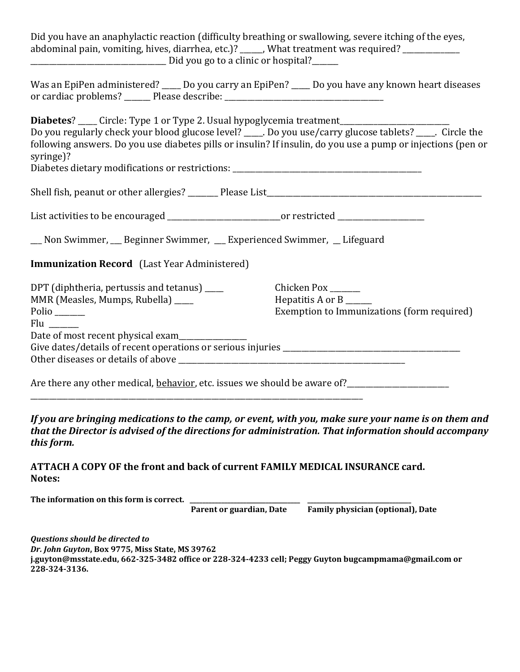Did you have an anaphylactic reaction (difficulty breathing or swallowing, severe itching of the eyes, abdominal pain, vomiting, hives, diarrhea, etc.)? \_\_\_\_\_, What treatment was required? \_\_\_\_\_\_\_\_\_\_\_\_  $\Box$  Did you go to a clinic or hospital?

|                      | Was an EpiPen administered? ____ Do you carry an EpiPen? | _Do you have any known heart diseases |
|----------------------|----------------------------------------------------------|---------------------------------------|
| or cardiac problems? | Please describe:                                         |                                       |

**Diabetes**? \_\_\_\_\_ Circle: Type 1 or Type 2. Usual hypoglycemia treatment\_\_\_\_\_\_\_\_\_\_ Do you regularly check your blood glucose level? \_\_\_\_. Do you use/carry glucose tablets? \_\_\_\_\_. Circle the following answers. Do you use diabetes pills or insulin? If insulin, do you use a pump or injections (pen or syringe)?

Diabetes dietary modifications or restrictions: \_\_\_\_\_\_\_\_\_\_\_\_\_\_\_\_\_\_\_\_\_\_\_\_\_\_\_\_\_\_\_\_

| Shell fish, peanut or other allergies? | Please List |  |
|----------------------------------------|-------------|--|
|                                        |             |  |

| List activities to be encouraged | or restricted |
|----------------------------------|---------------|
|----------------------------------|---------------|

| Non Swimmer, __ Beginner Swimmer, | ner, __ Experienced Swimmer, __ Lifeguard |  |
|-----------------------------------|-------------------------------------------|--|
|                                   |                                           |  |

**Immunization Record** (Last Year Administered)

| DPT (diphtheria, pertussis and tetanus) ____                                     | Chicken Pox ______                         |
|----------------------------------------------------------------------------------|--------------------------------------------|
| MMR (Measles, Mumps, Rubella) ____                                               | Hepatitis A or $B$ _______                 |
| Polio ______                                                                     | Exemption to Immunizations (form required) |
| Flu ____                                                                         |                                            |
| Date of most recent physical exam                                                |                                            |
| Give dates/details of recent operations or serious injuries ____________________ |                                            |
| Other diseases or details of above                                               |                                            |
|                                                                                  |                                            |

Are there any other medical, behavior, etc. issues we should be aware of?<br> \_\_\_\_\_\_\_\_\_\_\_\_\_\_\_\_\_\_\_\_\_\_\_\_\_\_\_\_\_\_\_\_\_\_\_\_\_\_\_\_\_\_\_\_\_\_\_\_\_\_\_\_\_\_\_\_\_\_\_\_\_\_\_\_\_\_\_\_\_\_\_\_\_\_\_\_\_\_\_\_\_\_\_\_\_\_\_\_

*If you are bringing medications to the camp, or event, with you, make sure your name is on them and that the Director is advised of the directions for administration. That information should accompany this form.*

## **ATTACH A COPY OF the front and back of current FAMILY MEDICAL INSURANCE card. Notes:**

| The information on this form is correct. |                          |                                   |
|------------------------------------------|--------------------------|-----------------------------------|
|                                          | Parent or guardian, Date | Family physician (optional), Date |

*Questions should be directed to Dr. John Guyton***, Box 9775, Miss State, MS 39762 j.guyton@msstate.edu, 662-325-3482 office or 228-324-4233 cell; Peggy Guyton bugcampmama@gmail.com or 228-324-3136.**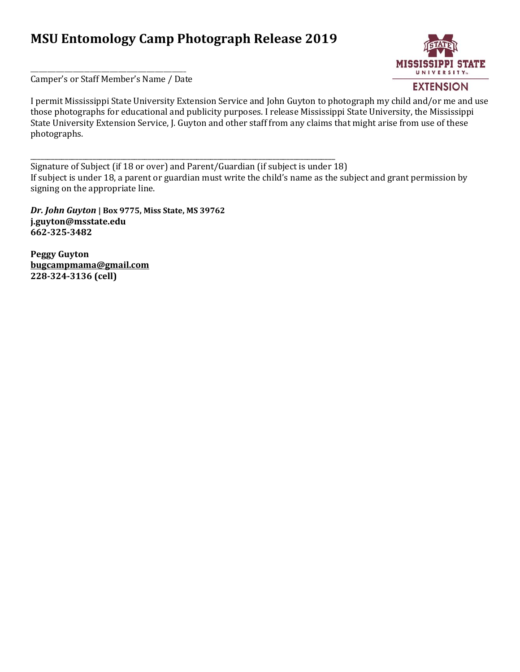# **MSU Entomology Camp Photograph Release 2019**

\_\_\_\_\_\_\_\_\_\_\_\_\_\_\_\_\_\_\_\_\_\_\_\_\_\_\_\_\_\_\_\_\_\_\_\_\_\_\_\_\_\_\_\_\_\_\_\_\_\_\_\_\_\_\_\_\_\_\_\_\_\_\_\_\_\_\_\_\_\_\_\_\_\_\_\_\_\_\_\_\_\_\_\_\_\_\_\_



\_\_\_\_\_\_\_\_\_\_\_\_\_\_\_\_\_\_\_\_\_\_\_\_\_\_\_\_\_\_\_\_\_\_\_\_\_\_\_\_\_\_\_\_\_\_\_\_\_\_\_\_\_\_\_ Camper's or Staff Member's Name / Date

I permit Mississippi State University Extension Service and John Guyton to photograph my child and/or me and use those photographs for educational and publicity purposes. I release Mississippi State University, the Mississippi State University Extension Service, J. Guyton and other staff from any claims that might arise from use of these photographs.

Signature of Subject (if 18 or over) and Parent/Guardian (if subject is under 18) If subject is under 18, a parent or guardian must write the child's name as the subject and grant permission by signing on the appropriate line.

*Dr. John Guyton* **| Box 9775, Miss State, MS 39762 j.guyton@msstate.edu 662-325-3482**

**Peggy Guyton bugcampmama@gmail.com 228-324-3136 (cell)**